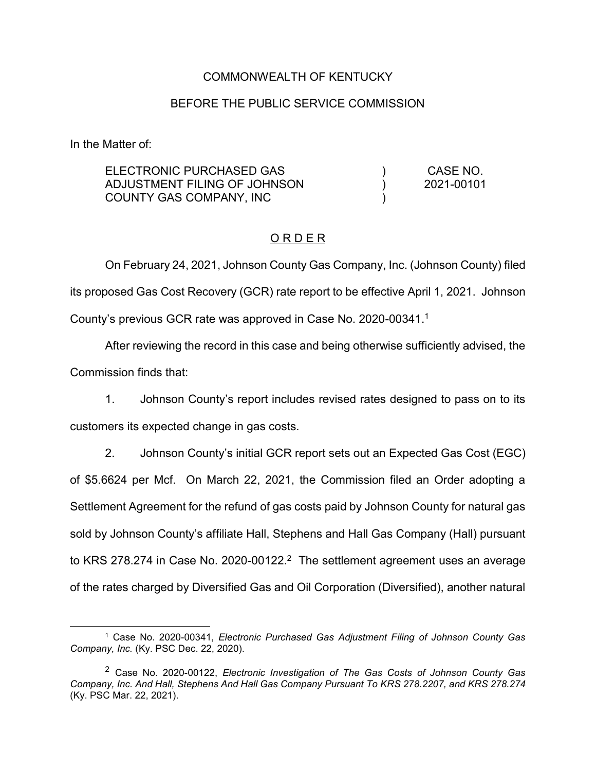#### COMMONWEALTH OF KENTUCKY

#### BEFORE THE PUBLIC SERVICE COMMISSION

In the Matter of:

| ELECTRONIC PURCHASED GAS     | CASE NO.   |
|------------------------------|------------|
| ADJUSTMENT FILING OF JOHNSON | 2021-00101 |
| COUNTY GAS COMPANY, INC      |            |

#### O R D E R

On February 24, 2021, Johnson County Gas Company, Inc. (Johnson County) filed its proposed Gas Cost Recovery (GCR) rate report to be effective April 1, 2021. Johnson County's previous GCR rate was approved in Case No. 2020-00341. 1

After reviewing the record in this case and being otherwise sufficiently advised, the Commission finds that:

1. Johnson County's report includes revised rates designed to pass on to its customers its expected change in gas costs.

2. Johnson County's initial GCR report sets out an Expected Gas Cost (EGC) of \$5.6624 per Mcf. On March 22, 2021, the Commission filed an Order adopting a Settlement Agreement for the refund of gas costs paid by Johnson County for natural gas sold by Johnson County's affiliate Hall, Stephens and Hall Gas Company (Hall) pursuant to KRS 278.274 in Case No. 2020-00122.<sup>2</sup> The settlement agreement uses an average of the rates charged by Diversified Gas and Oil Corporation (Diversified), another natural

 <sup>1</sup> Case No. 2020-00341, *Electronic Purchased Gas Adjustment Filing of Johnson County Gas Company, Inc.* (Ky. PSC Dec. 22, 2020).

<sup>2</sup> Case No. 2020-00122, *Electronic Investigation of The Gas Costs of Johnson County Gas Company, Inc. And Hall, Stephens And Hall Gas Company Pursuant To KRS 278.2207, and KRS 278.274* (Ky. PSC Mar. 22, 2021).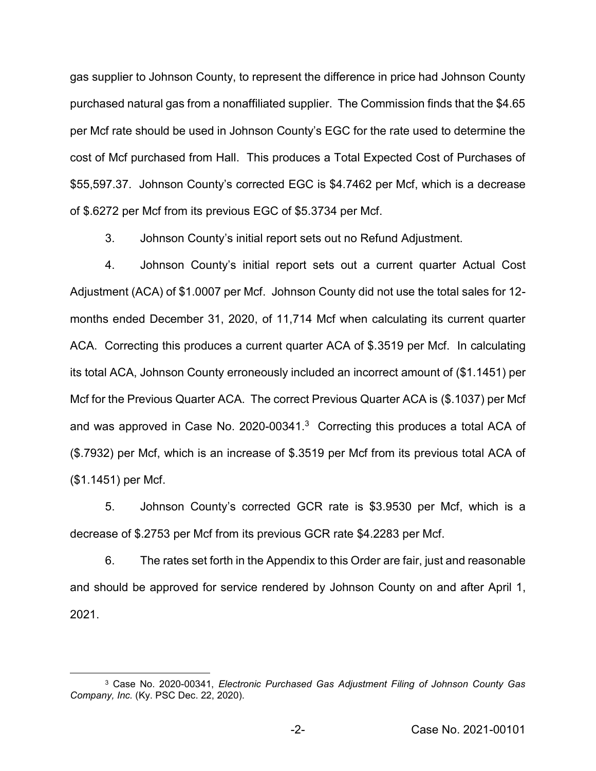gas supplier to Johnson County, to represent the difference in price had Johnson County purchased natural gas from a nonaffiliated supplier. The Commission finds that the \$4.65 per Mcf rate should be used in Johnson County's EGC for the rate used to determine the cost of Mcf purchased from Hall. This produces a Total Expected Cost of Purchases of \$55,597.37. Johnson County's corrected EGC is \$4.7462 per Mcf, which is a decrease of \$.6272 per Mcf from its previous EGC of \$5.3734 per Mcf.

3. Johnson County's initial report sets out no Refund Adjustment.

4. Johnson County's initial report sets out a current quarter Actual Cost Adjustment (ACA) of \$1.0007 per Mcf. Johnson County did not use the total sales for 12 months ended December 31, 2020, of 11,714 Mcf when calculating its current quarter ACA. Correcting this produces a current quarter ACA of \$.3519 per Mcf. In calculating its total ACA, Johnson County erroneously included an incorrect amount of (\$1.1451) per Mcf for the Previous Quarter ACA. The correct Previous Quarter ACA is (\$.1037) per Mcf and was approved in Case No. 2020-00341.<sup>3</sup> Correcting this produces a total ACA of (\$.7932) per Mcf, which is an increase of \$.3519 per Mcf from its previous total ACA of (\$1.1451) per Mcf.

5. Johnson County's corrected GCR rate is \$3.9530 per Mcf, which is a decrease of \$.2753 per Mcf from its previous GCR rate \$4.2283 per Mcf.

6. The rates set forth in the Appendix to this Order are fair, just and reasonable and should be approved for service rendered by Johnson County on and after April 1, 2021.

 <sup>3</sup> Case No. 2020-00341, *Electronic Purchased Gas Adjustment Filing of Johnson County Gas Company, Inc.* (Ky. PSC Dec. 22, 2020).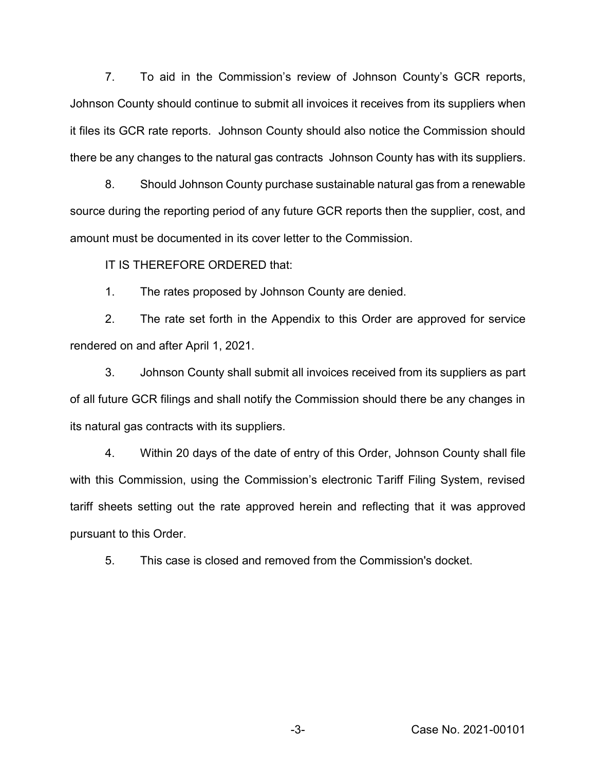7. To aid in the Commission's review of Johnson County's GCR reports, Johnson County should continue to submit all invoices it receives from its suppliers when it files its GCR rate reports. Johnson County should also notice the Commission should there be any changes to the natural gas contracts Johnson County has with its suppliers.

8. Should Johnson County purchase sustainable natural gas from a renewable source during the reporting period of any future GCR reports then the supplier, cost, and amount must be documented in its cover letter to the Commission.

IT IS THEREFORE ORDERED that:

1. The rates proposed by Johnson County are denied.

2. The rate set forth in the Appendix to this Order are approved for service rendered on and after April 1, 2021.

3. Johnson County shall submit all invoices received from its suppliers as part of all future GCR filings and shall notify the Commission should there be any changes in its natural gas contracts with its suppliers.

4. Within 20 days of the date of entry of this Order, Johnson County shall file with this Commission, using the Commission's electronic Tariff Filing System, revised tariff sheets setting out the rate approved herein and reflecting that it was approved pursuant to this Order.

5. This case is closed and removed from the Commission's docket.

-3- Case No. 2021-00101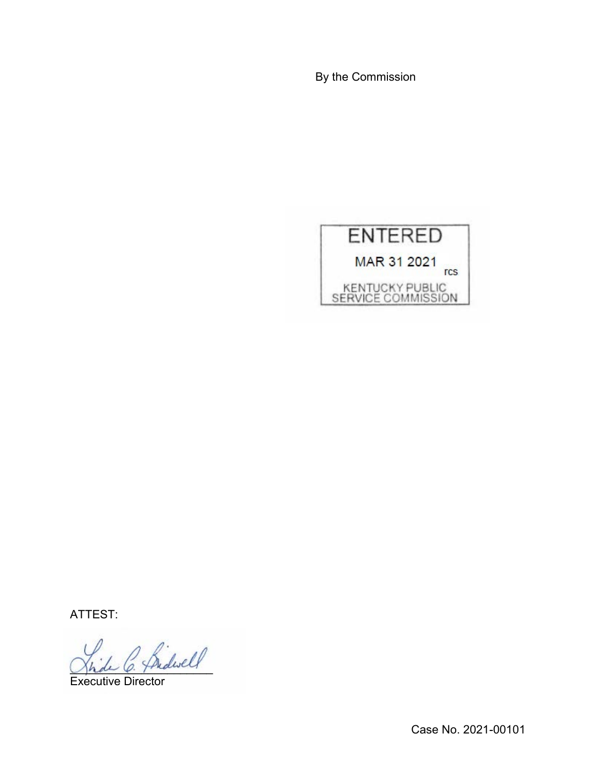By the Commission



ATTEST:

\_\_\_\_\_\_\_\_\_\_\_\_\_\_\_\_\_\_\_\_\_\_

Executive Director

Case No. 2021-00101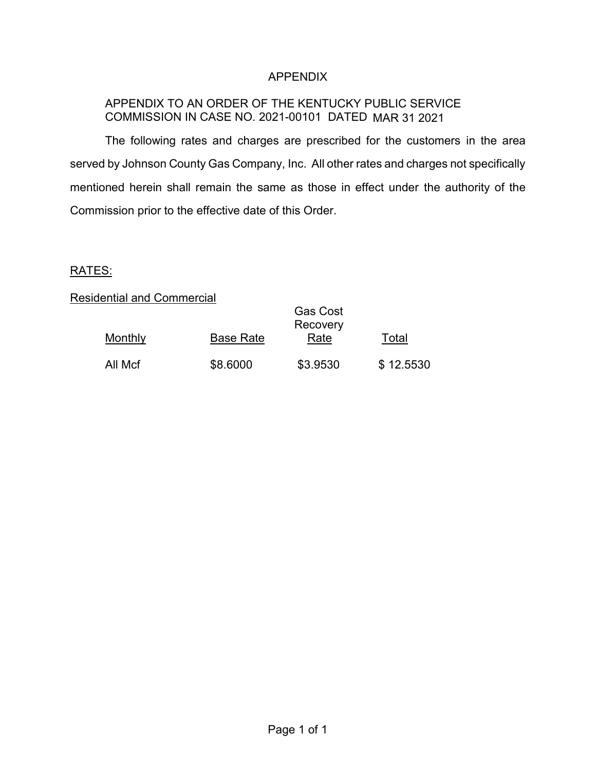# APPENDIX

# APPENDIX TO AN ORDER OF THE KENTUCKY PUBLIC SERVICE COMMISSION IN CASE NO. 2021-00101 DATED MAR 31 2021

The following rates and charges are prescribed for the customers in the area served by Johnson County Gas Company, Inc. All other rates and charges not specifically mentioned herein shall remain the same as those in effect under the authority of the Commission prior to the effective date of this Order.

### RATES:

### Residential and Commercial

|         |                  | <b>Gas Cost</b><br>Recovery |           |
|---------|------------------|-----------------------------|-----------|
| Monthly | <b>Base Rate</b> | Rate                        | Total     |
| All Mcf | \$8.6000         | \$3.9530                    | \$12.5530 |